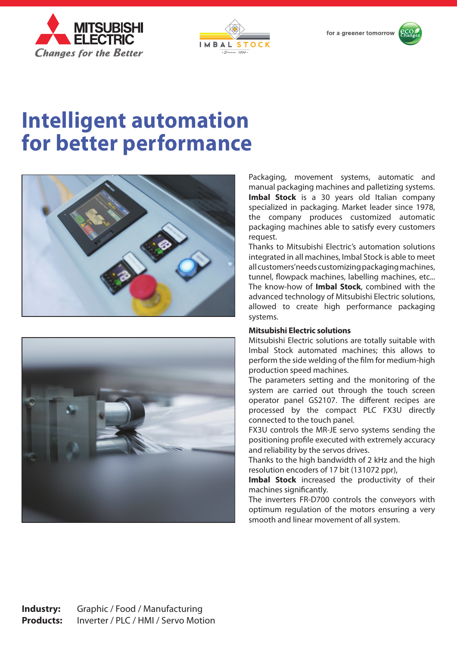





# **Intelligent automation for better performance**





Packaging, movement systems, automatic and manual packaging machines and palletizing systems. **Imbal Stock** is a 30 years old Italian company specialized in packaging. Market leader since 1978, the company produces customized automatic packaging machines able to satisfy every customers request.

Thanks to Mitsubishi Electric's automation solutions integrated in all machines, Imbal Stock is able to meet all customers' needs customizing packaging machines, tunnel, flowpack machines, labelling machines, etc... The know-how of **Imbal Stock**, combined with the advanced technology of Mitsubishi Electric solutions, allowed to create high performance packaging systems.

## **Mitsubishi Electric solutions**

Mitsubishi Electric solutions are totally suitable with Imbal Stock automated machines; this allows to perform the side welding of the film for medium-high production speed machines.

The parameters setting and the monitoring of the system are carried out through the touch screen operator panel GS2107. The different recipes are processed by the compact PLC FX3U directly connected to the touch panel.

FX3U controls the MR-JE servo systems sending the positioning profile executed with extremely accuracy and reliability by the servos drives.

Thanks to the high bandwidth of 2 kHz and the high resolution encoders of 17 bit (131072 ppr),

Imbal Stock increased the productivity of their machines significantly.

The inverters FR-D700 controls the conveyors with optimum regulation of the motors ensuring a very smooth and linear movement of all system.